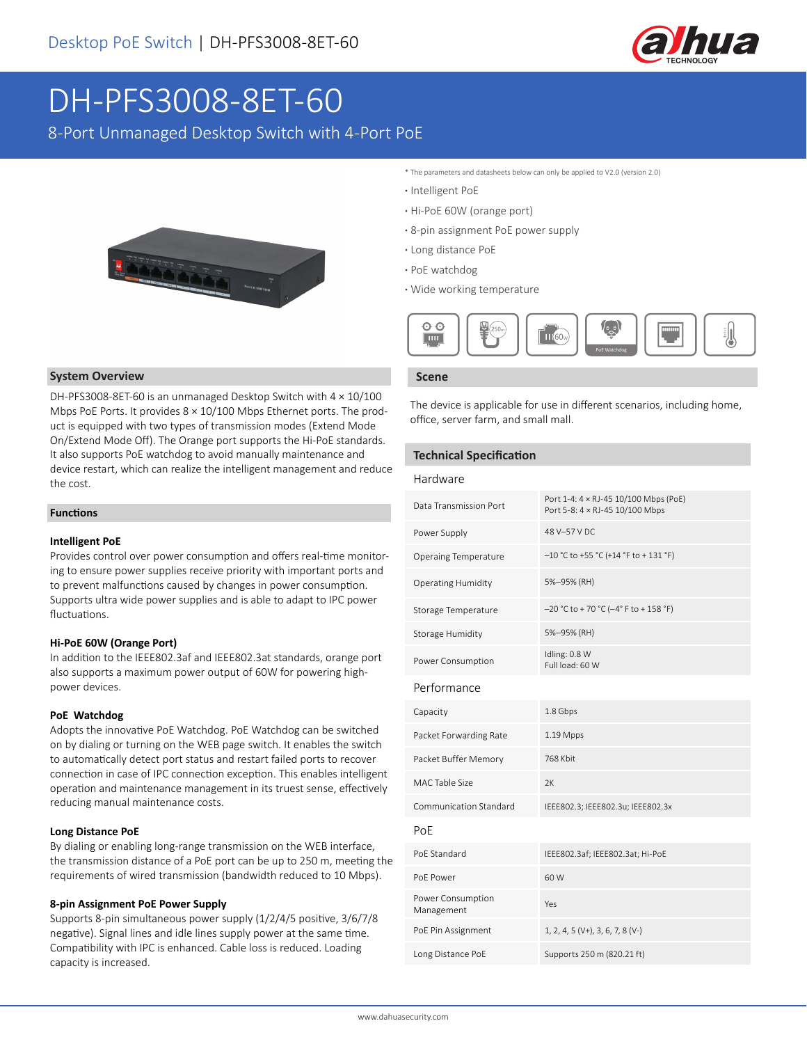

# DH-PFS3008-8ET-60

8-Port Unmanaged Desktop Switch with 4-Port PoE



#### **System Overview**

DH-PFS3008-8ET-60 is an unmanaged Desktop Switch with 4 × 10/100 Mbps PoE Ports. It provides 8 × 10/100 Mbps Ethernet ports. The product is equipped with two types of transmission modes (Extend Mode On/Extend Mode Off). The Orange port supports the Hi-PoE standards. It also supports PoE watchdog to avoid manually maintenance and device restart, which can realize the intelligent management and reduce the cost.

#### **Functions**

#### **Intelligent PoE**

Provides control over power consumption and offers real-time monitoring to ensure power supplies receive priority with important ports and to prevent malfunctions caused by changes in power consumption. Supports ultra wide power supplies and is able to adapt to IPC power fluctuations.

#### **Hi-PoE 60W (Orange Port)**

In addition to the IEEE802.3af and IEEE802.3at standards, orange port also supports a maximum power output of 60W for powering highpower devices.

#### **PoE Watchdog**

Adopts the innovative PoE Watchdog. PoE Watchdog can be switched on by dialing or turning on the WEB page switch. It enables the switch to automatically detect port status and restart failed ports to recover connection in case of IPC connection exception. This enables intelligent operation and maintenance management in its truest sense, effectively reducing manual maintenance costs.

#### **Long Distance PoE**

By dialing or enabling long-range transmission on the WEB interface, the transmission distance of a PoE port can be up to 250 m, meeting the requirements of wired transmission (bandwidth reduced to 10 Mbps).

#### **8-pin Assignment PoE Power Supply**

Supports 8-pin simultaneous power supply (1/2/4/5 positive, 3/6/7/8 negative). Signal lines and idle lines supply power at the same time. Compatibility with IPC is enhanced. Cable loss is reduced. Loading capacity is increased.

- \* The parameters and datasheets below can only be applied to V2.0 (version 2.0)
- **·** Intelligent PoE
- **·** Hi-PoE 60W (orange port)
- **·** 8-pin assignment PoE power supply
- **·** Long distance PoE
- **·** PoE watchdog
- **·** Wide working temperature



#### **Scene**

The device is applicable for use in different scenarios, including home, office, server farm, and small mall.

#### **Technical Specification**

| Hardware                        |                                                                          |  |  |
|---------------------------------|--------------------------------------------------------------------------|--|--|
| Data Transmission Port          | Port 1-4: 4 × RJ-45 10/100 Mbps (PoE)<br>Port 5-8: 4 × RJ-45 10/100 Mbps |  |  |
| Power Supply                    | 48 V-57 V DC                                                             |  |  |
| <b>Operaing Temperature</b>     | $-10$ °C to +55 °C (+14 °F to + 131 °F)                                  |  |  |
| <b>Operating Humidity</b>       | 5%-95% (RH)                                                              |  |  |
| Storage Temperature             | $-20$ °C to +70 °C ( $-4$ °F to +158 °F)                                 |  |  |
| Storage Humidity                | 5%-95% (RH)                                                              |  |  |
| Power Consumption               | Idling: 0.8 W<br>Full load: 60 W                                         |  |  |
| Performance                     |                                                                          |  |  |
| Capacity                        | 1.8 Gbps                                                                 |  |  |
| Packet Forwarding Rate          | 1.19 Mpps                                                                |  |  |
| Packet Buffer Memory            | 768 Kbit                                                                 |  |  |
| <b>MAC Table Size</b>           | 2K                                                                       |  |  |
| Communication Standard          | IEEE802.3; IEEE802.3u; IEEE802.3x                                        |  |  |
| PoF                             |                                                                          |  |  |
| PoF Standard                    | IEEE802.3af; IEEE802.3at; Hi-PoE                                         |  |  |
| PoE Power                       | 60 W                                                                     |  |  |
| Power Consumption<br>Management | Yes                                                                      |  |  |
| PoE Pin Assignment              | $1, 2, 4, 5 (V+), 3, 6, 7, 8 (V-)$                                       |  |  |
| Long Distance PoE               | Supports 250 m (820.21 ft)                                               |  |  |
|                                 |                                                                          |  |  |